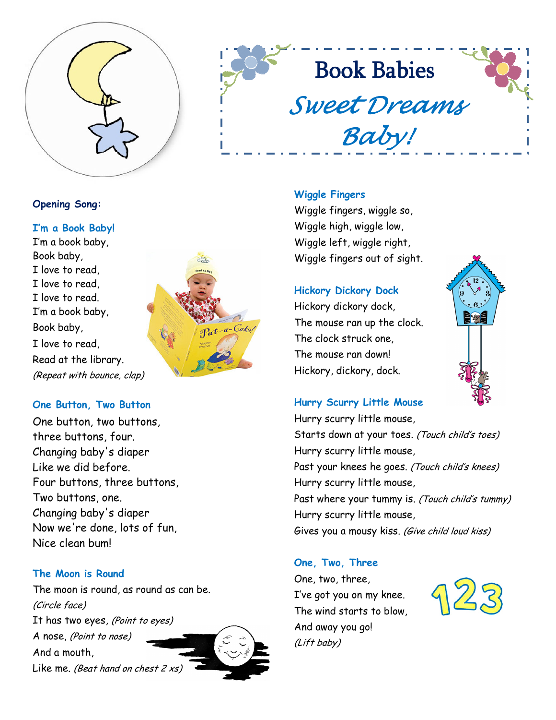

# **Book Babies** Sweet Dreams Baby!

# Opening Song:

I'm a Book Baby! I'm a book baby, Book baby, I love to read, I love to read, I love to read. I'm a book baby, Book baby, I love to read, Read at the library. (Repeat with bounce, clap)



# One Button, Two Button

One button, two buttons, three buttons, four. Changing baby's diaper Like we did before. Four buttons, three buttons, Two buttons, one. Changing baby's diaper Now we're done, lots of fun, Nice clean bum!

# The Moon is Round

The moon is round, as round as can be. (Circle face) It has two eyes, (Point to eyes) A nose, (Point to nose) And a mouth, Like me. (Beat hand on chest  $2 x s$ )

#### Wiggle Fingers

Wiggle fingers, wiggle so, Wiggle high, wiggle low, Wiggle left, wiggle right, Wiggle fingers out of sight.

#### Hickory Dickory Dock

Hickory dickory dock, The mouse ran up the clock. The clock struck one, The mouse ran down! Hickory, dickory, dock.



#### Hurry Scurry Little Mouse

Hurry scurry little mouse, Starts down at your toes. (Touch child's toes) Hurry scurry little mouse, Past your knees he goes. (Touch child's knees) Hurry scurry little mouse, Past where your tummy is. (Touch child's tummy) Hurry scurry little mouse, Gives you a mousy kiss. (Give child loud kiss)

#### One, Two, Three

One, two, three, I've got you on my knee. The wind starts to blow, And away you go! (Lift baby)